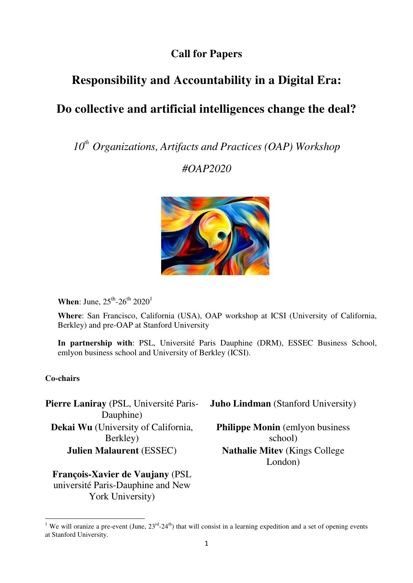### **Call for Papers**

## **Responsibility and Accountability in a Digital Era:**

# **Do collective and artificial intelligences change the deal?**

*10th Organizations, Artifacts and Practices (OAP) Workshop* 

*#OAP2020*



**When**: June,  $25^{\text{th}}$ -26<sup>th</sup> 2020<sup>1</sup>

**Where**: San Francisco, California (USA), OAP workshop at ICSI (University of California, Berkley) and pre-OAP at Stanford University

**In partnership with**: PSL, Université Paris Dauphine (DRM), ESSEC Business School, emlyon business school and University of Berkley (ICSI).

#### **Co-chairs**

 $\overline{a}$ 

**Pierre Laniray** (PSL, Université Paris-Dauphine) **Dekai Wu** (University of California, Berkley)

**François-Xavier de Vaujany** (PSL université Paris-Dauphine and New York University)

**Juho Lindman** (Stanford University)

**Philippe Monin** (emlyon business school) **Julien Malaurent** (ESSEC) **Nathalie Mitev** (Kings College London)

<sup>&</sup>lt;sup>1</sup> We will oranize a pre-event (June,  $23^{rd}$ - $24^{th}$ ) that will consist in a learning expedition and a set of opening events at Stanford University.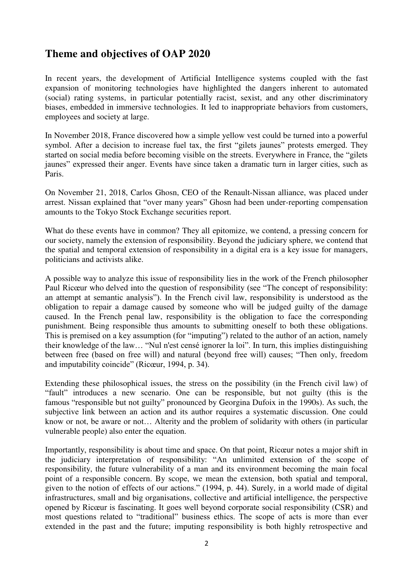### **Theme and objectives of OAP 2020**

In recent years, the development of Artificial Intelligence systems coupled with the fast expansion of monitoring technologies have highlighted the dangers inherent to automated (social) rating systems, in particular potentially racist, sexist, and any other discriminatory biases, embedded in immersive technologies. It led to inappropriate behaviors from customers, employees and society at large.

In November 2018, France discovered how a simple yellow vest could be turned into a powerful symbol. After a decision to increase fuel tax, the first "gilets jaunes" protests emerged. They started on social media before becoming visible on the streets. Everywhere in France, the "gilets jaunes" expressed their anger. Events have since taken a dramatic turn in larger cities, such as Paris.

On November 21, 2018, Carlos Ghosn, CEO of the Renault-Nissan alliance, was placed under arrest. Nissan explained that "over many years" Ghosn had been under-reporting compensation amounts to the Tokyo Stock Exchange securities report.

What do these events have in common? They all epitomize, we contend, a pressing concern for our society, namely the extension of responsibility. Beyond the judiciary sphere, we contend that the spatial and temporal extension of responsibility in a digital era is a key issue for managers, politicians and activists alike.

A possible way to analyze this issue of responsibility lies in the work of the French philosopher Paul Ricœur who delved into the question of responsibility (see "The concept of responsibility: an attempt at semantic analysis"). In the French civil law, responsibility is understood as the obligation to repair a damage caused by someone who will be judged guilty of the damage caused. In the French penal law, responsibility is the obligation to face the corresponding punishment. Being responsible thus amounts to submitting oneself to both these obligations. This is premised on a key assumption (for "imputing") related to the author of an action, namely their knowledge of the law… ["Nul n'est censé ignorer la loi"](https://www.lepetitjuriste.fr/divers/nemo-censetur-ignorare-lege-nul-nest-cense-ignorer-loi/). In turn, this implies distinguishing between free (based on free will) and natural (beyond free will) causes; "Then only, freedom and imputability coincide" (Ricœur, 1994, p. 34).

Extending these philosophical issues, the stress on the possibility (in the French civil law) of "fault" introduces a new scenario. One can be responsible, but not guilty (this is the famous ["responsible but not guilty"](https://fr.wikipedia.org/wiki/Georgina_Dufoix) pronounced by Georgina Dufoix in the 1990s). As such, the subjective link between an action and its author requires a systematic discussion. One could know or not, be aware or not… Alterity and the problem of solidarity with others (in particular vulnerable people) also enter the equation.

Importantly, responsibility is about time and space. On that point, Ricœur notes a major shift in the judiciary interpretation of responsibility: "An unlimited extension of the scope of responsibility, the future vulnerability of a man and its environment becoming the main focal point of a responsible concern. By scope, we mean the extension, both spatial and temporal, given to the notion of effects of our actions." (1994, p. 44). Surely, in a world made of digital infrastructures, small and big organisations, collective and artificial intelligence, the perspective opened by Ricœur is fascinating. It goes well beyond corporate social responsibility (CSR) and most questions related to "traditional" business ethics. The scope of acts is more than ever extended in the past and the future; imputing responsibility is both highly retrospective and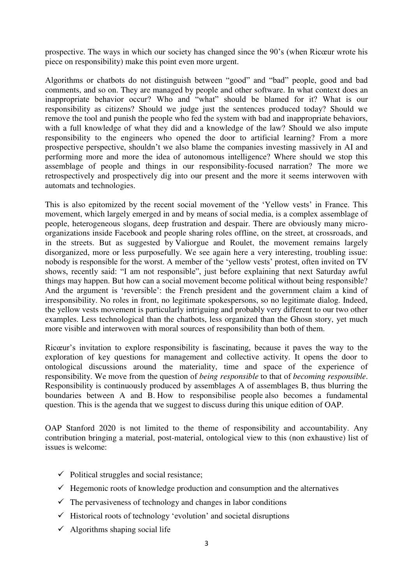prospective. The ways in which our society has changed since the 90's (when Ricœur wrote his piece on responsibility) make this point even more urgent.

Algorithms or chatbots do not distinguish between "good" and "bad" people, good and bad comments, and so on. They are managed by people and other software. In what context does an inappropriate behavior occur? Who and "what" should be blamed for it? What is our responsibility as citizens? Should we judge just the sentences produced today? Should we remove the tool and punish the people who fed the system with bad and inappropriate behaviors, with a full knowledge of what they did and a knowledge of the law? Should we also impute responsibility to the engineers who opened the door to artificial learning? From a more prospective perspective, shouldn't we also blame the companies investing massively in AI and performing more and more the idea of autonomous intelligence? Where should we stop this assemblage of people and things in our responsibility-focused narration? The more we retrospectively and prospectively dig into our present and the more it seems interwoven with automats and technologies.

This is also epitomized by the recent social movement of the 'Yellow vests' in France. This movement, which largely emerged in and by means of social media, is a complex assemblage of people, heterogeneous slogans, deep frustration and despair. There are obviously many microorganizations inside Facebook and people sharing roles offline, on the street, at crossroads, and in the streets. But as suggested by [Valiorgue and Roulet,](https://www.latribune.fr/opinions/tribunes/gilets-jaunes-macron-pris-au-piege-d-un-mouvement-social-deliberement-desorganise-799769.html) the movement remains largely disorganized, more or less purposefully. We see again here a very interesting, troubling issue: nobody is responsible for the worst. A member of the 'yellow vests' protest, often invited on TV shows, recently said: "I am not responsible", just before explaining that next Saturday awful things may happen. But how can a social movement become political without being responsible? And the argument is 'reversible': the French president and the government claim a kind of irresponsibility. No roles in front, no legitimate spokespersons, so no legitimate dialog. Indeed, the yellow vests movement is particularly intriguing and probably very different to our two other examples. Less technological than the chatbots, less organized than the Ghosn story, yet much more visible and interwoven with moral sources of responsibility than both of them.

Ricœur's invitation to explore responsibility is fascinating, because it paves the way to the exploration of key questions for management and collective activity. It opens the door to ontological discussions around the materiality, time and space of the experience of responsibility. We move from the question of *being responsible* to that of *becoming responsible*. Responsibility is continuously produced by assemblages A of assemblages B, thus blurring the boundaries between A and B. [How to responsibilise people](https://www.cairn.info/revue-vie-sociale-2009-3-page-71.html) also becomes a fundamental question. This is the agenda that we suggest to discuss during this unique edition of OAP.

OAP Stanford 2020 is not limited to the theme of responsibility and accountability. Any contribution bringing a material, post-material, ontological view to this (non exhaustive) list of issues is welcome:

- $\checkmark$  Political struggles and social resistance;
- $\checkmark$  Hegemonic roots of knowledge production and consumption and the alternatives
- $\checkmark$  The pervasiveness of technology and changes in labor conditions
- $\checkmark$  Historical roots of technology 'evolution' and societal disruptions
- $\checkmark$  Algorithms shaping social life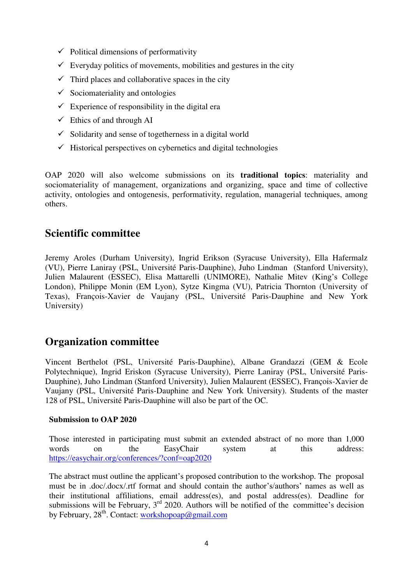- $\checkmark$  Political dimensions of performativity
- $\checkmark$  Everyday politics of movements, mobilities and gestures in the city
- $\checkmark$  Third places and collaborative spaces in the city
- $\checkmark$  Sociomateriality and ontologies
- $\checkmark$  Experience of responsibility in the digital era
- $\checkmark$  Ethics of and through AI
- $\checkmark$  Solidarity and sense of togetherness in a digital world
- $\checkmark$  Historical perspectives on cybernetics and digital technologies

OAP 2020 will also welcome submissions on its **traditional topics**: materiality and sociomateriality of management, organizations and organizing, space and time of collective activity, ontologies and ontogenesis, performativity, regulation, managerial techniques, among others.

### **Scientific committee**

Jeremy Aroles (Durham University), Ingrid Erikson (Syracuse University), Ella Hafermalz (VU), Pierre Laniray (PSL, Université Paris-Dauphine), Juho Lindman (Stanford University), Julien Malaurent (ESSEC), Elisa Mattarelli (UNIMORE), Nathalie Mitev (King's College London), Philippe Monin (EM Lyon), Sytze Kingma (VU), Patricia Thornton (University of Texas), François-Xavier de Vaujany (PSL, Université Paris-Dauphine and New York University)

### **Organization committee**

Vincent Berthelot (PSL, Université Paris-Dauphine), Albane Grandazzi (GEM & Ecole Polytechnique), Ingrid Eriskon (Syracuse University), Pierre Laniray (PSL, Université Paris-Dauphine), Juho Lindman (Stanford University), Julien Malaurent (ESSEC), François-Xavier de Vaujany (PSL, Université Paris-Dauphine and New York University). Students of the master 128 of PSL, Université Paris-Dauphine will also be part of the OC.

#### **Submission to OAP 2020**

Those interested in participating must submit an extended abstract of no more than 1,000 words on the EasyChair system at this address: https://easychair.org/conferences/?conf=oap2020

The abstract must outline the applicant's proposed contribution to the workshop. The proposal must be in .doc/.docx/.rtf format and should contain the author's/authors' names as well as their institutional affiliations, email address(es), and postal address(es). Deadline for submissions will be February,  $3<sup>rd</sup>$  2020. Authors will be notified of the committee's decision by February,  $28<sup>th</sup>$ . Contact: workshopoap@gmail.com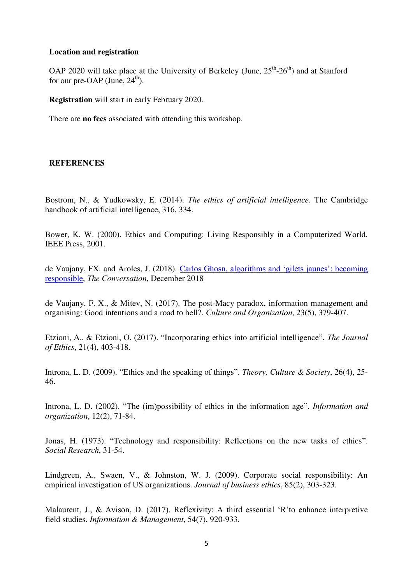#### **Location and registration**

OAP 2020 will take place at the University of Berkeley (June,  $25<sup>th</sup>$ - $26<sup>th</sup>$ ) and at Stanford for our pre-OAP (June,  $24^{\text{th}}$ ).

**Registration** will start in early February 2020.

There are **no fees** associated with attending this workshop.

#### **REFERENCES**

Bostrom, N., & Yudkowsky, E. (2014). *The ethics of artificial intelligence*. The Cambridge handbook of artificial intelligence, 316, 334.

Bower, K. W. (2000). Ethics and Computing: Living Responsibly in a Computerized World. IEEE Press, 2001.

de Vaujany, FX. and Aroles, J. (2018). Carlos Gho[sn, algorithms and 'gilets jaunes': becoming](https://theconversation.com/carlos-ghosn-algorithms-and-gilets-jaunes-becoming-responsible-107980)  [responsible,](https://theconversation.com/carlos-ghosn-algorithms-and-gilets-jaunes-becoming-responsible-107980) *The Conversation*, December 2018

de Vaujany, F. X., & Mitev, N. (2017). The post-Macy paradox, information management and organising: Good intentions and a road to hell?. *Culture and Organization*, 23(5), 379-407.

Etzioni, A., & Etzioni, O. (2017). "Incorporating ethics into artificial intelligence". *The Journal of Ethics*, 21(4), 403-418.

Introna, L. D. (2009). "Ethics and the speaking of things". *Theory, Culture & Society*, 26(4), 25- 46.

Introna, L. D. (2002). "The (im)possibility of ethics in the information age". *Information and organization*, 12(2), 71-84.

Jonas, H. (1973). "Technology and responsibility: Reflections on the new tasks of ethics". *Social Research*, 31-54.

Lindgreen, A., Swaen, V., & Johnston, W. J. (2009). Corporate social responsibility: An empirical investigation of US organizations. *Journal of business ethics*, 85(2), 303-323.

Malaurent, J., & Avison, D. (2017). Reflexivity: A third essential 'R'to enhance interpretive field studies. *Information & Management*, 54(7), 920-933.